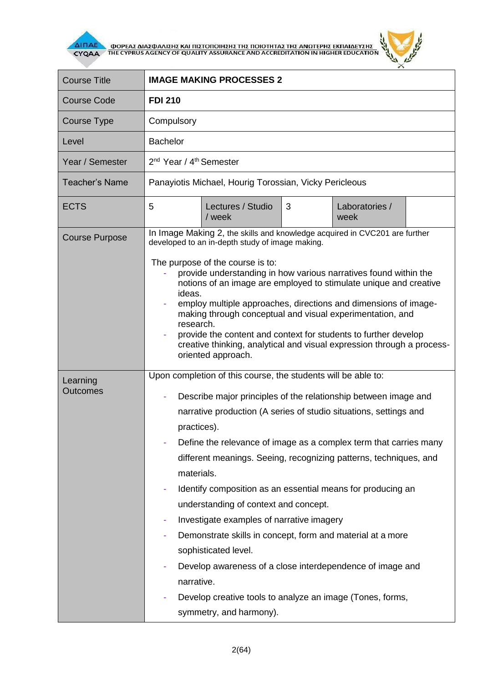

**AITIAE A OOPEAS AIAS DANISHS KAI TIISTOTOIHSHS THS TOIOTHTAS THE ANOTEPHS EKTIAIAEYSHS** 



| <b>Course Title</b>         | <b>IMAGE MAKING PROCESSES 2</b>                                                                                                                                                                                                                                                                                                                                                                                                                                                                                                                                                                                                                                                                                                                                                                      |
|-----------------------------|------------------------------------------------------------------------------------------------------------------------------------------------------------------------------------------------------------------------------------------------------------------------------------------------------------------------------------------------------------------------------------------------------------------------------------------------------------------------------------------------------------------------------------------------------------------------------------------------------------------------------------------------------------------------------------------------------------------------------------------------------------------------------------------------------|
| <b>Course Code</b>          | <b>FDI 210</b>                                                                                                                                                                                                                                                                                                                                                                                                                                                                                                                                                                                                                                                                                                                                                                                       |
| Course Type                 | Compulsory                                                                                                                                                                                                                                                                                                                                                                                                                                                                                                                                                                                                                                                                                                                                                                                           |
| Level                       | <b>Bachelor</b>                                                                                                                                                                                                                                                                                                                                                                                                                                                                                                                                                                                                                                                                                                                                                                                      |
| Year / Semester             | 2 <sup>nd</sup> Year / 4 <sup>th</sup> Semester                                                                                                                                                                                                                                                                                                                                                                                                                                                                                                                                                                                                                                                                                                                                                      |
| <b>Teacher's Name</b>       | Panayiotis Michael, Hourig Torossian, Vicky Pericleous                                                                                                                                                                                                                                                                                                                                                                                                                                                                                                                                                                                                                                                                                                                                               |
| <b>ECTS</b>                 | 3<br>5<br>Lectures / Studio<br>Laboratories /<br>/ week<br>week                                                                                                                                                                                                                                                                                                                                                                                                                                                                                                                                                                                                                                                                                                                                      |
| <b>Course Purpose</b>       | In Image Making 2, the skills and knowledge acquired in CVC201 are further<br>developed to an in-depth study of image making.<br>The purpose of the course is to:<br>provide understanding in how various narratives found within the<br>notions of an image are employed to stimulate unique and creative<br>ideas.<br>employ multiple approaches, directions and dimensions of image-<br>making through conceptual and visual experimentation, and<br>research.<br>provide the content and context for students to further develop<br>creative thinking, analytical and visual expression through a process-<br>oriented approach.                                                                                                                                                                 |
| Learning<br><b>Outcomes</b> | Upon completion of this course, the students will be able to:<br>Describe major principles of the relationship between image and<br>narrative production (A series of studio situations, settings and<br>practices).<br>Define the relevance of image as a complex term that carries many<br>different meanings. Seeing, recognizing patterns, techniques, and<br>materials.<br>Identify composition as an essential means for producing an<br>۰<br>understanding of context and concept.<br>Investigate examples of narrative imagery<br>Demonstrate skills in concept, form and material at a more<br>۰<br>sophisticated level.<br>Develop awareness of a close interdependence of image and<br>narrative.<br>Develop creative tools to analyze an image (Tones, forms,<br>symmetry, and harmony). |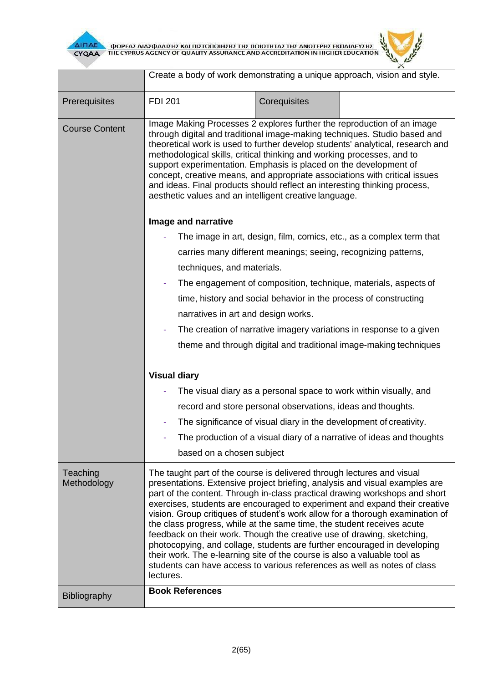

 $\overline{\Delta}$  (ΠΑΕ<br>CYQAA THE CYPRUS AGENCY OF QUALITY ASSURANCE AND ACCREDITATION IN HIGHER EDUCATION

Create a body of work demonstrating a unique approach, vision and style.

لميد

| Prerequisites           | <b>FDI 201</b><br>Corequisites                                                                                                                                                                                                                                                                                                                                                                                                                                                                                                                                                                                                                                                                                                                                                                           |
|-------------------------|----------------------------------------------------------------------------------------------------------------------------------------------------------------------------------------------------------------------------------------------------------------------------------------------------------------------------------------------------------------------------------------------------------------------------------------------------------------------------------------------------------------------------------------------------------------------------------------------------------------------------------------------------------------------------------------------------------------------------------------------------------------------------------------------------------|
| <b>Course Content</b>   | Image Making Processes 2 explores further the reproduction of an image<br>through digital and traditional image-making techniques. Studio based and<br>theoretical work is used to further develop students' analytical, research and<br>methodological skills, critical thinking and working processes, and to<br>support experimentation. Emphasis is placed on the development of<br>concept, creative means, and appropriate associations with critical issues<br>and ideas. Final products should reflect an interesting thinking process,<br>aesthetic values and an intelligent creative language.                                                                                                                                                                                                |
|                         | Image and narrative                                                                                                                                                                                                                                                                                                                                                                                                                                                                                                                                                                                                                                                                                                                                                                                      |
|                         | The image in art, design, film, comics, etc., as a complex term that                                                                                                                                                                                                                                                                                                                                                                                                                                                                                                                                                                                                                                                                                                                                     |
|                         | carries many different meanings; seeing, recognizing patterns,                                                                                                                                                                                                                                                                                                                                                                                                                                                                                                                                                                                                                                                                                                                                           |
|                         | techniques, and materials.                                                                                                                                                                                                                                                                                                                                                                                                                                                                                                                                                                                                                                                                                                                                                                               |
|                         | The engagement of composition, technique, materials, aspects of                                                                                                                                                                                                                                                                                                                                                                                                                                                                                                                                                                                                                                                                                                                                          |
|                         | time, history and social behavior in the process of constructing                                                                                                                                                                                                                                                                                                                                                                                                                                                                                                                                                                                                                                                                                                                                         |
|                         | narratives in art and design works.                                                                                                                                                                                                                                                                                                                                                                                                                                                                                                                                                                                                                                                                                                                                                                      |
|                         | The creation of narrative imagery variations in response to a given                                                                                                                                                                                                                                                                                                                                                                                                                                                                                                                                                                                                                                                                                                                                      |
|                         | theme and through digital and traditional image-making techniques                                                                                                                                                                                                                                                                                                                                                                                                                                                                                                                                                                                                                                                                                                                                        |
|                         | <b>Visual diary</b>                                                                                                                                                                                                                                                                                                                                                                                                                                                                                                                                                                                                                                                                                                                                                                                      |
|                         | The visual diary as a personal space to work within visually, and                                                                                                                                                                                                                                                                                                                                                                                                                                                                                                                                                                                                                                                                                                                                        |
|                         | record and store personal observations, ideas and thoughts.                                                                                                                                                                                                                                                                                                                                                                                                                                                                                                                                                                                                                                                                                                                                              |
|                         | The significance of visual diary in the development of creativity.                                                                                                                                                                                                                                                                                                                                                                                                                                                                                                                                                                                                                                                                                                                                       |
|                         | The production of a visual diary of a narrative of ideas and thoughts                                                                                                                                                                                                                                                                                                                                                                                                                                                                                                                                                                                                                                                                                                                                    |
|                         | based on a chosen subject                                                                                                                                                                                                                                                                                                                                                                                                                                                                                                                                                                                                                                                                                                                                                                                |
| Teaching<br>Methodology | The taught part of the course is delivered through lectures and visual<br>presentations. Extensive project briefing, analysis and visual examples are<br>part of the content. Through in-class practical drawing workshops and short<br>exercises, students are encouraged to experiment and expand their creative<br>vision. Group critiques of student's work allow for a thorough examination of<br>the class progress, while at the same time, the student receives acute<br>feedback on their work. Though the creative use of drawing, sketching,<br>photocopying, and collage, students are further encouraged in developing<br>their work. The e-learning site of the course is also a valuable tool as<br>students can have access to various references as well as notes of class<br>lectures. |
| <b>Bibliography</b>     | <b>Book References</b>                                                                                                                                                                                                                                                                                                                                                                                                                                                                                                                                                                                                                                                                                                                                                                                   |
|                         |                                                                                                                                                                                                                                                                                                                                                                                                                                                                                                                                                                                                                                                                                                                                                                                                          |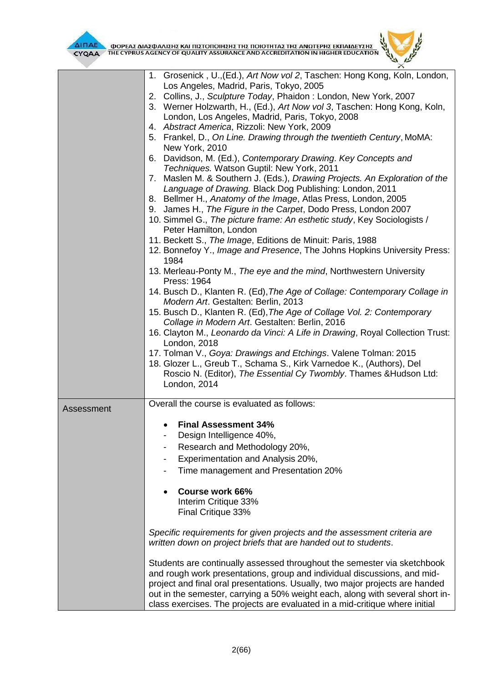

 $\frac{1}{\sqrt{2\pi}}\sum_{i=1}^N$ **AITIAE A OOPEAS AIAS DANISHS KAI TIISTOTOIHSHS THS TOIOTHTAS THE ANOTEPHS EKTIAIAEYSHS** 

 $\mathbf{z}$ 

|            | 1. Grosenick, U., (Ed.), Art Now vol 2, Taschen: Hong Kong, Koln, London,     |
|------------|-------------------------------------------------------------------------------|
|            | Los Angeles, Madrid, Paris, Tokyo, 2005                                       |
|            | 2. Collins, J., Sculpture Today, Phaidon: London, New York, 2007              |
|            | 3. Werner Holzwarth, H., (Ed.), Art Now vol 3, Taschen: Hong Kong, Koln,      |
|            | London, Los Angeles, Madrid, Paris, Tokyo, 2008                               |
|            | 4. Abstract America, Rizzoli: New York, 2009                                  |
|            | 5. Frankel, D., On Line. Drawing through the twentieth Century, MoMA:         |
|            | New York, 2010                                                                |
|            | 6. Davidson, M. (Ed.), Contemporary Drawing. Key Concepts and                 |
|            | Techniques. Watson Guptil: New York, 2011                                     |
|            | 7. Maslen M. & Southern J. (Eds.), Drawing Projects. An Exploration of the    |
|            | Language of Drawing. Black Dog Publishing: London, 2011                       |
|            | 8. Bellmer H., Anatomy of the Image, Atlas Press, London, 2005                |
|            | 9. James H., The Figure in the Carpet, Dodo Press, London 2007                |
|            | 10. Simmel G., The picture frame: An esthetic study, Key Sociologists /       |
|            | Peter Hamilton, London                                                        |
|            | 11. Beckett S., The Image, Editions de Minuit: Paris, 1988                    |
|            | 12. Bonnefoy Y., Image and Presence, The Johns Hopkins University Press:      |
|            | 1984                                                                          |
|            | 13. Merleau-Ponty M., The eye and the mind, Northwestern University           |
|            | Press: 1964                                                                   |
|            | 14. Busch D., Klanten R. (Ed), The Age of Collage: Contemporary Collage in    |
|            | Modern Art. Gestalten: Berlin, 2013                                           |
|            | 15. Busch D., Klanten R. (Ed), The Age of Collage Vol. 2: Contemporary        |
|            | Collage in Modern Art. Gestalten: Berlin, 2016                                |
|            | 16. Clayton M., Leonardo da Vinci: A Life in Drawing, Royal Collection Trust: |
|            | London, 2018                                                                  |
|            | 17. Tolman V., Goya: Drawings and Etchings. Valene Tolman: 2015               |
|            | 18. Glozer L., Greub T., Schama S., Kirk Varnedoe K., (Authors), Del          |
|            | Roscio N. (Editor), The Essential Cy Twombly. Thames & Hudson Ltd:            |
|            | London, 2014                                                                  |
|            |                                                                               |
| Assessment | Overall the course is evaluated as follows:                                   |
|            |                                                                               |
|            | <b>Final Assessment 34%</b>                                                   |
|            | Design Intelligence 40%,                                                      |
|            | Research and Methodology 20%,                                                 |
|            | Experimentation and Analysis 20%,                                             |
|            | Time management and Presentation 20%                                          |
|            |                                                                               |
|            | <b>Course work 66%</b>                                                        |
|            | Interim Critique 33%                                                          |
|            | Final Critique 33%                                                            |
|            |                                                                               |
|            | Specific requirements for given projects and the assessment criteria are      |
|            | written down on project briefs that are handed out to students.               |
|            |                                                                               |
|            | Students are continually assessed throughout the semester via sketchbook      |
|            | and rough work presentations, group and individual discussions, and mid-      |
|            | project and final oral presentations. Usually, two major projects are handed  |
|            | out in the semester, carrying a 50% weight each, along with several short in- |
|            | class exercises. The projects are evaluated in a mid-critique where initial   |